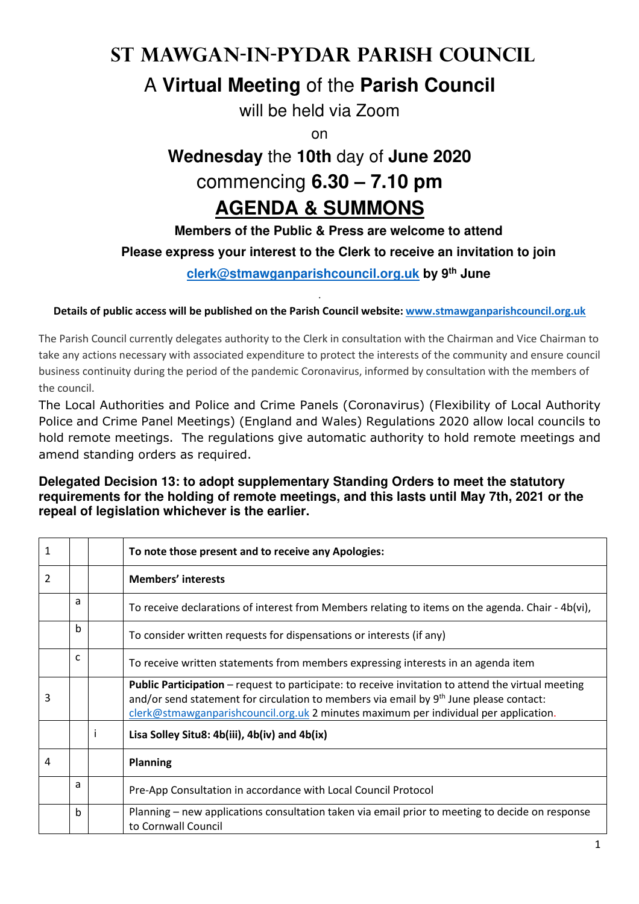# **St Mawgan-in-Pydar Parish Council**

### A **Virtual Meeting** of the **Parish Council**

will be held via Zoom

on

## **Wednesday** the **10th** day of **June 2020** commencing **6.30 – 7.10 pm AGENDA & SUMMONS**

### **Members of the Public & Press are welcome to attend**

### **Please express your interest to the Clerk to receive an invitation to join**

**clerk@stmawganparishcouncil.org.uk by 9th June**

#### . **Details of public access will be published on the Parish Council website: www.stmawganparishcouncil.org.uk**

The Parish Council currently delegates authority to the Clerk in consultation with the Chairman and Vice Chairman to take any actions necessary with associated expenditure to protect the interests of the community and ensure council business continuity during the period of the pandemic Coronavirus, informed by consultation with the members of the council.

The Local Authorities and Police and Crime Panels (Coronavirus) (Flexibility of Local Authority Police and Crime Panel Meetings) (England and Wales) Regulations 2020 allow local councils to hold remote meetings. The regulations give automatic authority to hold remote meetings and amend standing orders as required.

#### **Delegated Decision 13: to adopt supplementary Standing Orders to meet the statutory requirements for the holding of remote meetings, and this lasts until May 7th, 2021 or the repeal of legislation whichever is the earlier.**

| 1 |   | To note those present and to receive any Apologies:                                                                                                                                                                                                                                         |  |  |  |
|---|---|---------------------------------------------------------------------------------------------------------------------------------------------------------------------------------------------------------------------------------------------------------------------------------------------|--|--|--|
| 2 |   | <b>Members' interests</b>                                                                                                                                                                                                                                                                   |  |  |  |
|   | a | To receive declarations of interest from Members relating to items on the agenda. Chair - $4b(vi)$ ,                                                                                                                                                                                        |  |  |  |
|   | b | To consider written requests for dispensations or interests (if any)                                                                                                                                                                                                                        |  |  |  |
|   | C | To receive written statements from members expressing interests in an agenda item                                                                                                                                                                                                           |  |  |  |
| 3 |   | <b>Public Participation</b> – request to participate: to receive invitation to attend the virtual meeting<br>and/or send statement for circulation to members via email by 9th June please contact:<br>clerk@stmawganparishcouncil.org.uk 2 minutes maximum per individual per application. |  |  |  |
|   |   | Lisa Solley Situ8: 4b(iii), 4b(iv) and 4b(ix)                                                                                                                                                                                                                                               |  |  |  |
| 4 |   | <b>Planning</b>                                                                                                                                                                                                                                                                             |  |  |  |
|   | a | Pre-App Consultation in accordance with Local Council Protocol                                                                                                                                                                                                                              |  |  |  |
|   | b | Planning – new applications consultation taken via email prior to meeting to decide on response<br>to Cornwall Council                                                                                                                                                                      |  |  |  |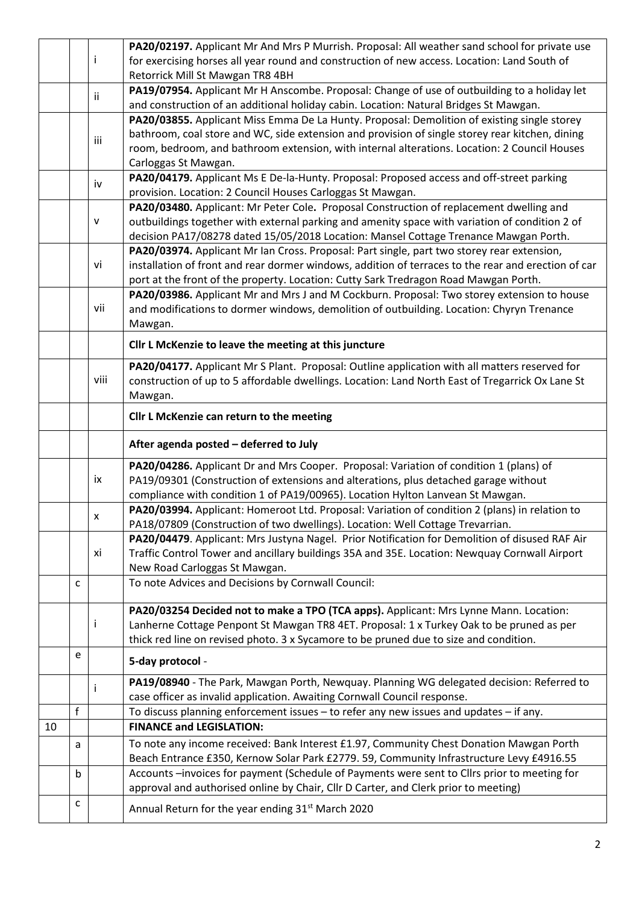|    |   |      | PA20/02197. Applicant Mr And Mrs P Murrish. Proposal: All weather sand school for private use       |  |  |  |  |
|----|---|------|-----------------------------------------------------------------------------------------------------|--|--|--|--|
|    |   | i.   | for exercising horses all year round and construction of new access. Location: Land South of        |  |  |  |  |
|    |   |      | Retorrick Mill St Mawgan TR8 4BH                                                                    |  |  |  |  |
|    |   | ii.  | PA19/07954. Applicant Mr H Anscombe. Proposal: Change of use of outbuilding to a holiday let        |  |  |  |  |
|    |   |      | and construction of an additional holiday cabin. Location: Natural Bridges St Mawgan.               |  |  |  |  |
|    |   |      | PA20/03855. Applicant Miss Emma De La Hunty. Proposal: Demolition of existing single storey         |  |  |  |  |
|    |   | iii  | bathroom, coal store and WC, side extension and provision of single storey rear kitchen, dining     |  |  |  |  |
|    |   |      | room, bedroom, and bathroom extension, with internal alterations. Location: 2 Council Houses        |  |  |  |  |
|    |   |      | Carloggas St Mawgan.                                                                                |  |  |  |  |
|    |   |      | PA20/04179. Applicant Ms E De-la-Hunty. Proposal: Proposed access and off-street parking            |  |  |  |  |
|    |   | iv   | provision. Location: 2 Council Houses Carloggas St Mawgan.                                          |  |  |  |  |
|    |   |      | PA20/03480. Applicant: Mr Peter Cole. Proposal Construction of replacement dwelling and             |  |  |  |  |
|    |   | v    | outbuildings together with external parking and amenity space with variation of condition 2 of      |  |  |  |  |
|    |   |      | decision PA17/08278 dated 15/05/2018 Location: Mansel Cottage Trenance Mawgan Porth.                |  |  |  |  |
|    |   |      | PA20/03974. Applicant Mr Ian Cross. Proposal: Part single, part two storey rear extension,          |  |  |  |  |
|    |   | vi   | installation of front and rear dormer windows, addition of terraces to the rear and erection of car |  |  |  |  |
|    |   |      | port at the front of the property. Location: Cutty Sark Tredragon Road Mawgan Porth.                |  |  |  |  |
|    |   |      | PA20/03986. Applicant Mr and Mrs J and M Cockburn. Proposal: Two storey extension to house          |  |  |  |  |
|    |   | vii  | and modifications to dormer windows, demolition of outbuilding. Location: Chyryn Trenance           |  |  |  |  |
|    |   |      | Mawgan.                                                                                             |  |  |  |  |
|    |   |      |                                                                                                     |  |  |  |  |
|    |   |      | Cllr L McKenzie to leave the meeting at this juncture                                               |  |  |  |  |
|    |   |      | PA20/04177. Applicant Mr S Plant. Proposal: Outline application with all matters reserved for       |  |  |  |  |
|    |   | viii | construction of up to 5 affordable dwellings. Location: Land North East of Tregarrick Ox Lane St    |  |  |  |  |
|    |   |      | Mawgan.                                                                                             |  |  |  |  |
|    |   |      | Cllr L McKenzie can return to the meeting                                                           |  |  |  |  |
|    |   |      | After agenda posted - deferred to July                                                              |  |  |  |  |
|    |   |      |                                                                                                     |  |  |  |  |
|    |   |      |                                                                                                     |  |  |  |  |
|    |   | ix   | PA20/04286. Applicant Dr and Mrs Cooper. Proposal: Variation of condition 1 (plans) of              |  |  |  |  |
|    |   |      | PA19/09301 (Construction of extensions and alterations, plus detached garage without                |  |  |  |  |
|    |   |      | compliance with condition 1 of PA19/00965). Location Hylton Lanvean St Mawgan.                      |  |  |  |  |
|    |   | X    | PA20/03994. Applicant: Homeroot Ltd. Proposal: Variation of condition 2 (plans) in relation to      |  |  |  |  |
|    |   |      | PA18/07809 (Construction of two dwellings). Location: Well Cottage Trevarrian.                      |  |  |  |  |
|    |   |      | PA20/04479. Applicant: Mrs Justyna Nagel. Prior Notification for Demolition of disused RAF Air      |  |  |  |  |
|    |   | хi   | Traffic Control Tower and ancillary buildings 35A and 35E. Location: Newquay Cornwall Airport       |  |  |  |  |
|    |   |      | New Road Carloggas St Mawgan.                                                                       |  |  |  |  |
|    | C |      | To note Advices and Decisions by Cornwall Council:                                                  |  |  |  |  |
|    |   |      |                                                                                                     |  |  |  |  |
|    |   |      | PA20/03254 Decided not to make a TPO (TCA apps). Applicant: Mrs Lynne Mann. Location:               |  |  |  |  |
|    |   |      | Lanherne Cottage Penpont St Mawgan TR8 4ET. Proposal: 1 x Turkey Oak to be pruned as per            |  |  |  |  |
|    | e |      | thick red line on revised photo. 3 x Sycamore to be pruned due to size and condition.               |  |  |  |  |
|    |   |      | 5-day protocol -                                                                                    |  |  |  |  |
|    |   |      | PA19/08940 - The Park, Mawgan Porth, Newquay. Planning WG delegated decision: Referred to           |  |  |  |  |
|    |   |      | case officer as invalid application. Awaiting Cornwall Council response.                            |  |  |  |  |
|    | f |      | To discuss planning enforcement issues - to refer any new issues and updates - if any.              |  |  |  |  |
| 10 |   |      | <b>FINANCE and LEGISLATION:</b>                                                                     |  |  |  |  |
|    | a |      | To note any income received: Bank Interest £1.97, Community Chest Donation Mawgan Porth             |  |  |  |  |
|    |   |      | Beach Entrance £350, Kernow Solar Park £2779. 59, Community Infrastructure Levy £4916.55            |  |  |  |  |
|    | b |      | Accounts -invoices for payment (Schedule of Payments were sent to Cllrs prior to meeting for        |  |  |  |  |
|    | с |      | approval and authorised online by Chair, Cllr D Carter, and Clerk prior to meeting)                 |  |  |  |  |